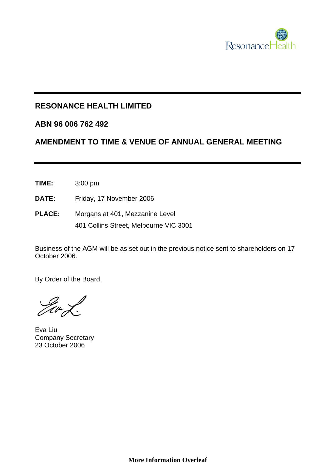

## **RESONANCE HEALTH LIMITED**

## **ABN 96 006 762 492**

## **AMENDMENT TO TIME & VENUE OF ANNUAL GENERAL MEETING**

- **TIME:** 3:00 pm
- **DATE:** Friday, 17 November 2006
- **PLACE:** Morgans at 401, Mezzanine Level 401 Collins Street, Melbourne VIC 3001

Business of the AGM will be as set out in the previous notice sent to shareholders on 17 October 2006.

By Order of the Board,

Eva Liu Company Secretary 23 October 2006

**More Information Overleaf**